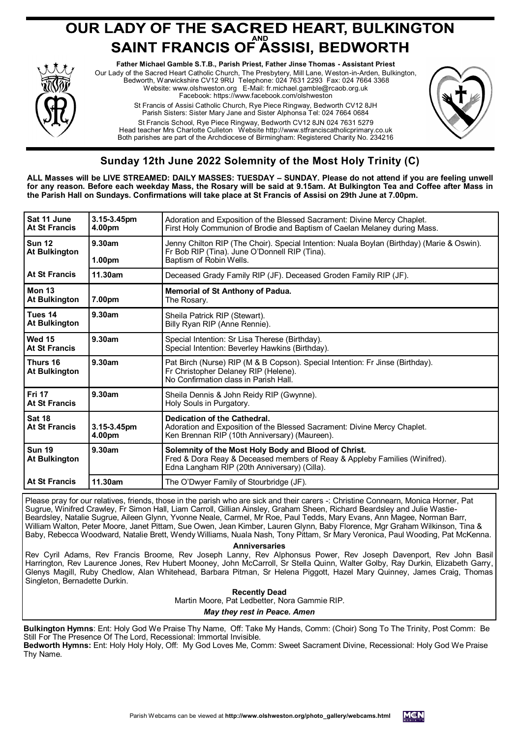# **OUR LADY OF THE SACRED HEART, BULKINGTON<br>SAINT FRANCIS OF ASSISI, BEDWORTH**



**Father Michael Gamble S.T.B., Parish Priest, Father Jinse Thomas - Assistant Priest** Our Lady of the Sacred Heart Catholic Church, The Presbytery, Mill Lane, Weston-in-Arden, Bulkington, Bedworth, Warwickshire CV12 9RU Telephone: 024 7631 2293 Fax: 024 7664 3368 Website: www.olshweston.org E-Mail: fr.michael.gamble@rcaob.org.uk Facebook: https://www.facebook.com/olshweston St Francis of Assisi Catholic Church, Rye Piece Ringway, Bedworth CV12 8JH Parish Sisters: Sister Mary Jane and Sister Alphonsa Tel: 024 7664 0684 St Francis School, Rye Piece Ringway, Bedworth CV12 8JN 024 7631 5279 Head teacher Mrs Charlotte Culleton Website http://www.stfranciscatholicprimary.co.uk Both parishes are part of the Archdiocese of Birmingham: Registered Charity No. 234216



## **Sunday 12th June 2022 Solemnity of the Most Holy Trinity (C)**

**ALL Masses will be LIVE STREAMED: DAILY MASSES: TUESDAY – SUNDAY. Please do not attend if you are feeling unwell for any reason. Before each weekday Mass, the Rosary will be said at 9.15am. At Bulkington Tea and Coffee after Mass in the Parish Hall on Sundays. Confirmations will take place at St Francis of Assisi on 29th June at 7.00pm.**

| Sat 11 June<br><b>At St Francis</b>   | 3.15-3.45pm<br>4.00pm        | Adoration and Exposition of the Blessed Sacrament: Divine Mercy Chaplet.<br>First Holy Communion of Brodie and Baptism of Caelan Melaney during Mass.                              |
|---------------------------------------|------------------------------|------------------------------------------------------------------------------------------------------------------------------------------------------------------------------------|
| <b>Sun 12</b><br><b>At Bulkington</b> | 9.30am<br>1.00 <sub>pm</sub> | Jenny Chilton RIP (The Choir). Special Intention: Nuala Boylan (Birthday) (Marie & Oswin).<br>Fr Bob RIP (Tina). June O'Donnell RIP (Tina).<br>Baptism of Robin Wells.             |
| At St Francis                         | 11.30am                      | Deceased Grady Family RIP (JF). Deceased Groden Family RIP (JF).                                                                                                                   |
| <b>Mon 13</b><br><b>At Bulkington</b> | 7.00pm                       | Memorial of St Anthony of Padua.<br>The Rosary.                                                                                                                                    |
| Tues 14<br><b>At Bulkington</b>       | 9.30am                       | Sheila Patrick RIP (Stewart).<br>Billy Ryan RIP (Anne Rennie).                                                                                                                     |
| Wed 15<br><b>At St Francis</b>        | 9.30am                       | Special Intention: Sr Lisa Therese (Birthday).<br>Special Intention: Beverley Hawkins (Birthday).                                                                                  |
| Thurs 16<br><b>At Bulkington</b>      | 9.30am                       | Pat Birch (Nurse) RIP (M & B Copson). Special Intention: Fr Jinse (Birthday).<br>Fr Christopher Delaney RIP (Helene).<br>No Confirmation class in Parish Hall.                     |
| <b>Fri 17</b><br><b>At St Francis</b> | 9.30am                       | Sheila Dennis & John Reidy RIP (Gwynne).<br>Holy Souls in Purgatory.                                                                                                               |
| <b>Sat 18</b><br>At St Francis        | 3.15-3.45pm<br>4.00pm        | Dedication of the Cathedral.<br>Adoration and Exposition of the Blessed Sacrament: Divine Mercy Chaplet.<br>Ken Brennan RIP (10th Anniversary) (Maureen).                          |
| <b>Sun 19</b><br><b>At Bulkington</b> | 9.30am                       | Solemnity of the Most Holy Body and Blood of Christ.<br>Fred & Dora Reay & Deceased members of Reay & Appleby Families (Winifred).<br>Edna Langham RIP (20th Anniversary) (Cilla). |
| <b>At St Francis</b>                  | 11.30am                      | The O'Dwyer Family of Stourbridge (JF).                                                                                                                                            |

Please pray for our relatives, friends, those in the parish who are sick and their carers -: Christine Connearn, Monica Horner, Pat Sugrue, Winifred Crawley, Fr Simon Hall, Liam Carroll, Gillian Ainsley, Graham Sheen, Richard Beardsley and Julie Wastie-Beardsley, Natalie Sugrue, Aileen Glynn, Yvonne Neale, Carmel, Mr Roe, Paul Tedds, Mary Evans, Ann Magee, Norman Barr, William Walton, Peter Moore, Janet Pittam, Sue Owen, Jean Kimber, Lauren Glynn, Baby Florence, Mgr Graham Wilkinson, Tina & Baby, Rebecca Woodward, Natalie Brett, Wendy Williams, Nuala Nash, Tony Pittam, Sr Mary Veronica, Paul Wooding, Pat McKenna.

**Anniversaries** 

Rev Cyril Adams, Rev Francis Broome, Rev Joseph Lanny, Rev Alphonsus Power, Rev Joseph Davenport, Rev John Basil Harrington, Rev Laurence Jones, Rev Hubert Mooney, John McCarroll, Sr Stella Quinn, Walter Golby, Ray Durkin, Elizabeth Garry, Glenys Magill, Ruby Chedlow, Alan Whitehead, Barbara Pitman, Sr Helena Piggott, Hazel Mary Quinney, James Craig, Thomas Singleton, Bernadette Durkin.

**Recently Dead**

Martin Moore, Pat Ledbetter, Nora Gammie RIP.

*May they rest in Peace. Amen*

**Bulkington Hymns**: Ent: Holy God We Praise Thy Name, Off: Take My Hands, Comm: (Choir) Song To The Trinity, Post Comm: Be Still For The Presence Of The Lord, Recessional: Immortal Invisible. **Bedworth Hymns:** Ent: Holy Holy Holy, Off: My God Loves Me, Comm: Sweet Sacrament Divine, Recessional: Holy God We Praise

Thy Name.